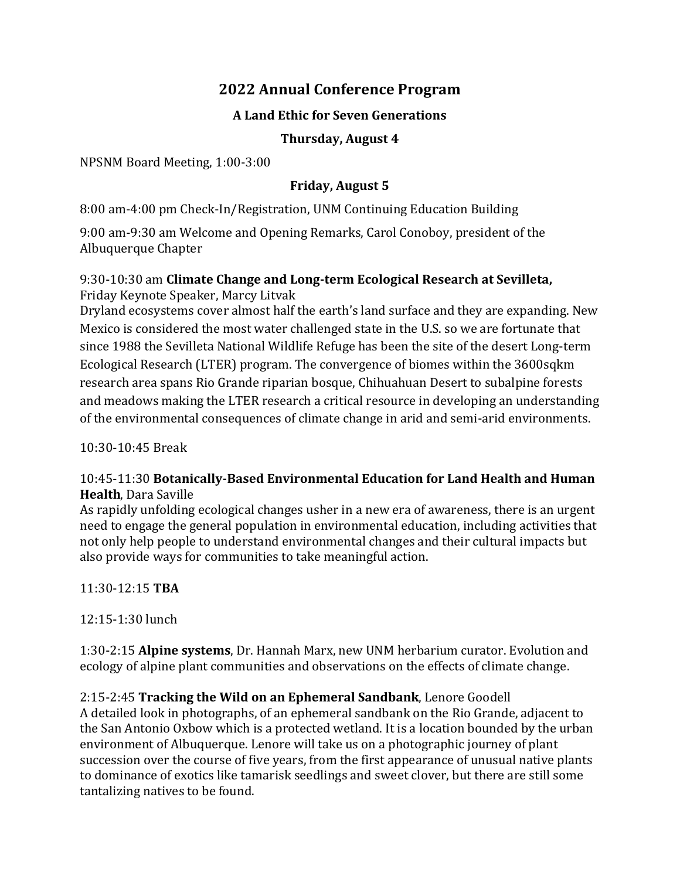# **2022 Annual Conference Program**

# **A Land Ethic for Seven Generations**

### **Thursday, August 4**

NPSNM Board Meeting, 1:00-3:00

# **Friday, August 5**

8:00 am-4:00 pm Check-In/Registration, UNM Continuing Education Building

9:00 am-9:30 am Welcome and Opening Remarks, Carol Conoboy, president of the Albuquerque Chapter

### 9:30-10:30 am **Climate Change and Long-term Ecological Research at Sevilleta,**  Friday Keynote Speaker, Marcy Litvak

Dryland ecosystems cover almost half the earth's land surface and they are expanding. New Mexico is considered the most water challenged state in the U.S. so we are fortunate that since 1988 the Sevilleta National Wildlife Refuge has been the site of the desert Long-term Ecological Research (LTER) program. The convergence of biomes within the 3600sqkm research area spans Rio Grande riparian bosque, Chihuahuan Desert to subalpine forests and meadows making the LTER research a critical resource in developing an understanding of the environmental consequences of climate change in arid and semi-arid environments.

10:30-10:45 Break

# 10:45-11:30 **Botanically-Based Environmental Education for Land Health and Human Health**, Dara Saville

As rapidly unfolding ecological changes usher in a new era of awareness, there is an urgent need to engage the general population in environmental education, including activities that not only help people to understand environmental changes and their cultural impacts but also provide ways for communities to take meaningful action.

11:30-12:15 **TBA**

12:15-1:30 lunch

1:30-2:15 **Alpine systems**, Dr. Hannah Marx, new UNM herbarium curator. Evolution and ecology of alpine plant communities and observations on the effects of climate change.

# 2:15-2:45 **Tracking the Wild on an Ephemeral Sandbank**, Lenore Goodell

A detailed look in photographs, of an ephemeral sandbank on the Rio Grande, adjacent to the San Antonio Oxbow which is a protected wetland. It is a location bounded by the urban environment of Albuquerque. Lenore will take us on a photographic journey of plant succession over the course of five years, from the first appearance of unusual native plants to dominance of exotics like tamarisk seedlings and sweet clover, but there are still some tantalizing natives to be found.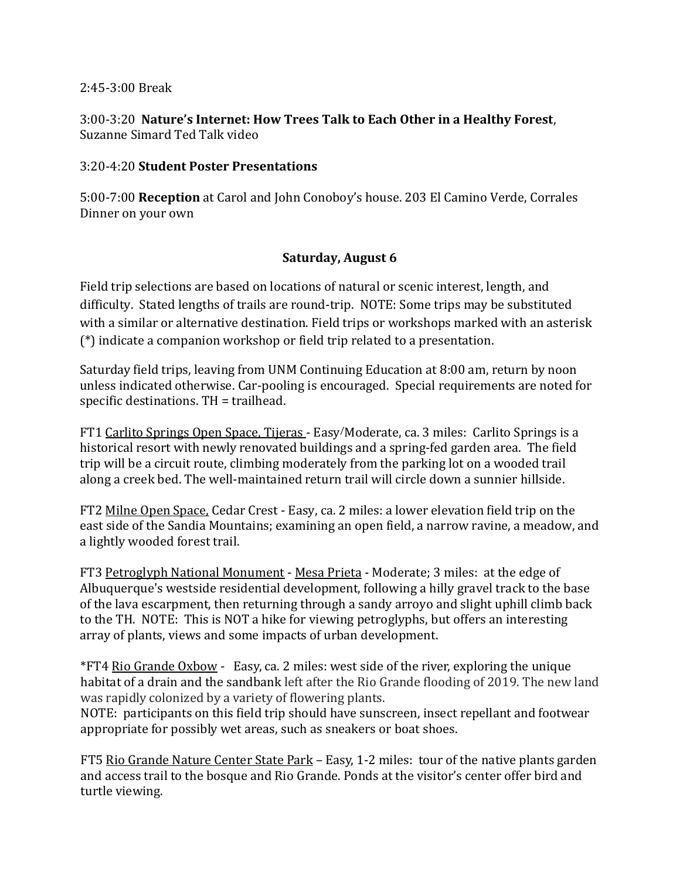### 2:45-3:00 Break

3:00-3:20 **Nature's Internet: How Trees Talk to Each Other in a Healthy Forest**, Suzanne Simard Ted Talk video

### 3:20-4:20 **Student Poster Presentations**

5:00-7:00 **Reception** at Carol and John Conoboy's house. 203 El Camino Verde, Corrales Dinner on your own

# **Saturday, August 6**

Field trip selections are based on locations of natural or scenic interest, length, and difficulty. Stated lengths of trails are round-trip. NOTE: Some trips may be substituted with a similar or alternative destination. Field trips or workshops marked with an asterisk (\*) indicate a companion workshop or field trip related to a presentation.

Saturday field trips, leaving from UNM Continuing Education at 8:00 am, return by noon unless indicated otherwise. Car-pooling is encouraged. Special requirements are noted for specific destinations. TH = trailhead.

FT1 Carlito Springs Open Space, Tijeras - Easy/Moderate, ca. 3 miles: Carlito Springs is a historical resort with newly renovated buildings and a spring-fed garden area. The field trip will be a circuit route, climbing moderately from the parking lot on a wooded trail along a creek bed. The well-maintained return trail will circle down a sunnier hillside.

FT2 Milne Open Space, Cedar Crest - Easy, ca. 2 miles: a lower elevation field trip on the east side of the Sandia Mountains; examining an open field, a narrow ravine, a meadow, and a lightly wooded forest trail.

FT3 Petroglyph National Monument - Mesa Prieta - Moderate; 3 miles: at the edge of Albuquerque's westside residential development, following a hilly gravel track to the base of the lava escarpment, then returning through a sandy arroyo and slight uphill climb back to the TH. NOTE: This is NOT a hike for viewing petroglyphs, but offers an interesting array of plants, views and some impacts of urban development.

\*FT4 Rio Grande Oxbow - Easy, ca. 2 miles: west side of the river, exploring the unique habitat of a drain and the sandbank left after the Rio Grande flooding of 2019. The new land was rapidly colonized by a variety of flowering plants.

NOTE: participants on this field trip should have sunscreen, insect repellant and footwear appropriate for possibly wet areas, such as sneakers or boat shoes.

FT5 Rio Grande Nature Center State Park – Easy, 1-2 miles: tour of the native plants garden and access trail to the bosque and Rio Grande. Ponds at the visitor's center offer bird and turtle viewing.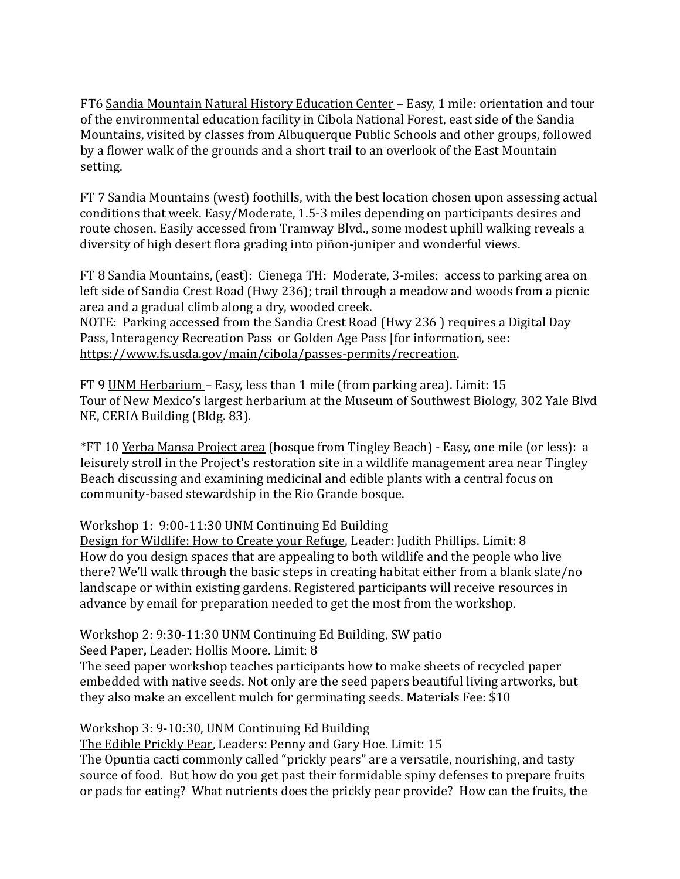FT6 Sandia Mountain Natural History Education Center – Easy, 1 mile: orientation and tour of the environmental education facility in Cibola National Forest, east side of the Sandia Mountains, visited by classes from Albuquerque Public Schools and other groups, followed by a flower walk of the grounds and a short trail to an overlook of the East Mountain setting.

FT 7 Sandia Mountains (west) foothills, with the best location chosen upon assessing actual conditions that week. Easy/Moderate, 1.5-3 miles depending on participants desires and route chosen. Easily accessed from Tramway Blvd., some modest uphill walking reveals a diversity of high desert flora grading into piñon-juniper and wonderful views.

FT 8 Sandia Mountains, (east): Cienega TH: Moderate, 3-miles: access to parking area on left side of Sandia Crest Road (Hwy 236); trail through a meadow and woods from a picnic area and a gradual climb along a dry, wooded creek. NOTE: Parking accessed from the Sandia Crest Road (Hwy 236 ) requires a Digital Day Pass, Interagency Recreation Pass or Golden Age Pass [for information, see:

[https://www.fs.usda.gov/main/cibola/passes-permits/recreation.](https://www.fs.usda.gov/main/cibola/passes-permits/recreation)

FT 9 UNM Herbarium – Easy, less than 1 mile (from parking area). Limit: 15 Tour of New Mexico's largest herbarium at the Museum of Southwest Biology, 302 Yale Blvd NE, CERIA Building (Bldg. 83).

\*FT 10 Yerba Mansa Project area (bosque from Tingley Beach) - Easy, one mile (or less): a leisurely stroll in the Project's restoration site in a wildlife management area near Tingley Beach discussing and examining medicinal and edible plants with a central focus on community-based stewardship in the Rio Grande bosque.

Workshop 1: 9:00-11:30 UNM Continuing Ed Building

Design for Wildlife: How to Create your Refuge, Leader: Judith Phillips. Limit: 8 How do you design spaces that are appealing to both wildlife and the people who live there? We'll walk through the basic steps in creating habitat either from a blank slate/no landscape or within existing gardens. Registered participants will receive resources in advance by email for preparation needed to get the most from the workshop.

Workshop 2: 9:30-11:30 UNM Continuing Ed Building, SW patio

Seed Paper**,** Leader: Hollis Moore. Limit: 8

The seed paper workshop teaches participants how to make sheets of recycled paper embedded with native seeds. Not only are the seed papers beautiful living artworks, but they also make an excellent mulch for germinating seeds. Materials Fee: \$10

Workshop 3: 9-10:30, UNM Continuing Ed Building

The Edible Prickly Pear, Leaders: Penny and Gary Hoe. Limit: 15

The Opuntia cacti commonly called "prickly pears" are a versatile, nourishing, and tasty source of food. But how do you get past their formidable spiny defenses to prepare fruits or pads for eating? What nutrients does the prickly pear provide? How can the fruits, the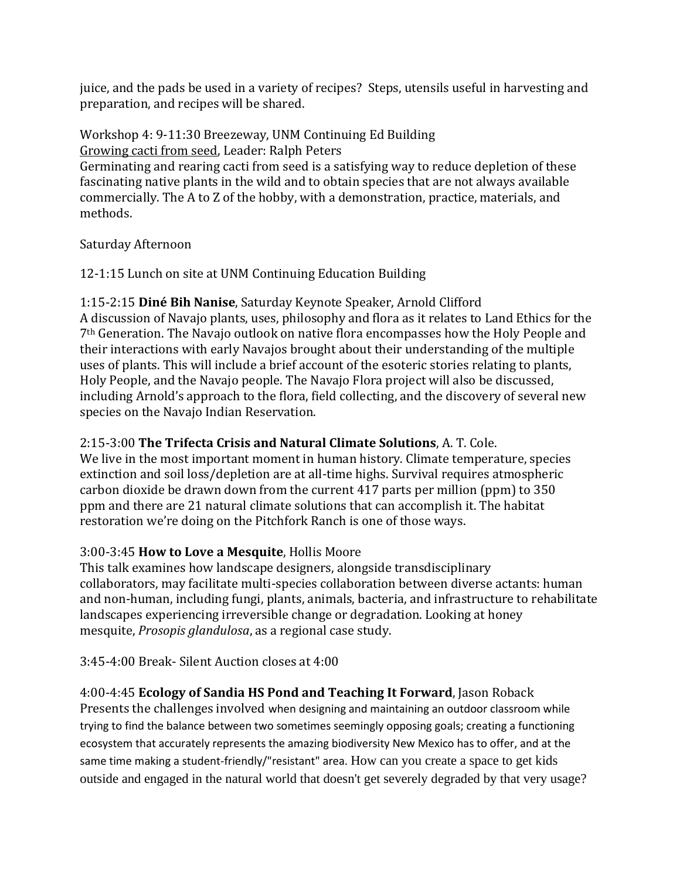juice, and the pads be used in a variety of recipes? Steps, utensils useful in harvesting and preparation, and recipes will be shared.

Workshop 4: 9-11:30 Breezeway, UNM Continuing Ed Building Growing cacti from seed, Leader: Ralph Peters Germinating and rearing cacti from seed is a satisfying way to reduce depletion of these fascinating native plants in the wild and to obtain species that are not always available commercially. The A to Z of the hobby, with a demonstration, practice, materials, and methods.

# Saturday Afternoon

# 12-1:15 Lunch on site at UNM Continuing Education Building

1:15-2:15 **Diné Bih Nanise**, Saturday Keynote Speaker, Arnold Clifford

A discussion of Navajo plants, uses, philosophy and flora as it relates to Land Ethics for the 7th Generation. The Navajo outlook on native flora encompasses how the Holy People and their interactions with early Navajos brought about their understanding of the multiple uses of plants. This will include a brief account of the esoteric stories relating to plants, Holy People, and the Navajo people. The Navajo Flora project will also be discussed, including Arnold's approach to the flora, field collecting, and the discovery of several new species on the Navajo Indian Reservation.

# 2:15-3:00 **The Trifecta Crisis and Natural Climate Solutions**, A. T. Cole.

We live in the most important moment in human history. Climate temperature, species extinction and soil loss/depletion are at all-time highs. Survival requires atmospheric carbon dioxide be drawn down from the current 417 parts per million (ppm) to 350 ppm and there are 21 natural climate solutions that can accomplish it. The habitat restoration we're doing on the Pitchfork Ranch is one of those ways.

# 3:00-3:45 **How to Love a Mesquite**, Hollis Moore

This talk examines how landscape designers, alongside transdisciplinary collaborators, may facilitate multi-species collaboration between diverse actants: human and non-human, including fungi, plants, animals, bacteria, and infrastructure to rehabilitate landscapes experiencing irreversible change or degradation. Looking at honey mesquite, *Prosopis glandulosa*, as a regional case study.

3:45-4:00 Break- Silent Auction closes at 4:00

# 4:00-4:45 **Ecology of Sandia HS Pond and Teaching It Forward**, Jason Roback

Presents the challenges involved when designing and maintaining an outdoor classroom while trying to find the balance between two sometimes seemingly opposing goals; creating a functioning ecosystem that accurately represents the amazing biodiversity New Mexico has to offer, and at the same time making a student-friendly/"resistant" area. How can you create a space to get kids outside and engaged in the natural world that doesn't get severely degraded by that very usage?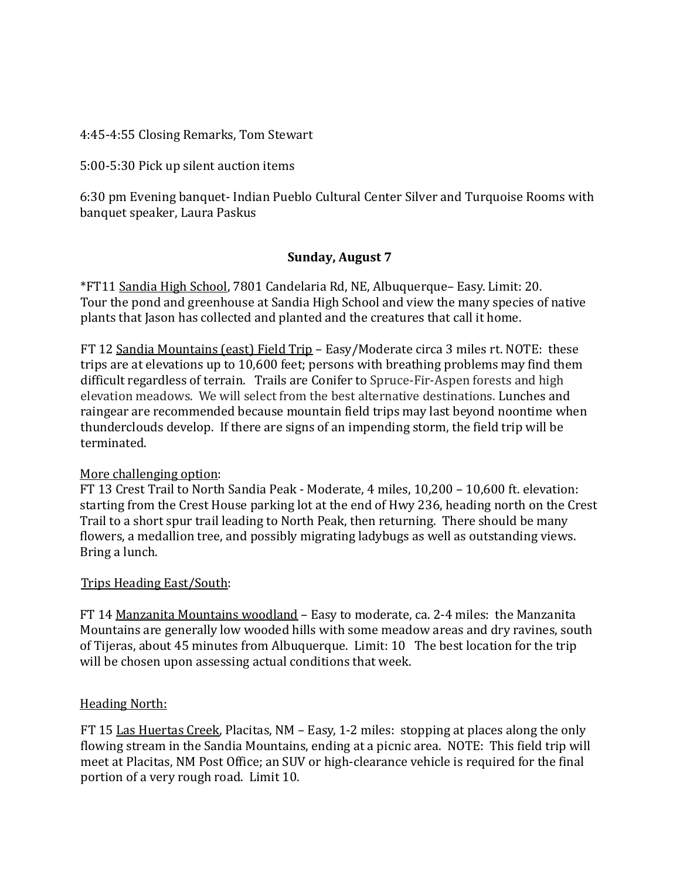4:45-4:55 Closing Remarks, Tom Stewart

5:00-5:30 Pick up silent auction items

6:30 pm Evening banquet- Indian Pueblo Cultural Center Silver and Turquoise Rooms with banquet speaker, Laura Paskus

### **Sunday, August 7**

\*FT11 Sandia High School, 7801 Candelaria Rd, NE, Albuquerque– Easy. Limit: 20. Tour the pond and greenhouse at Sandia High School and view the many species of native plants that Jason has collected and planted and the creatures that call it home.

FT 12 Sandia Mountains (east) Field Trip – Easy/Moderate circa 3 miles rt. NOTE: these trips are at elevations up to 10,600 feet; persons with breathing problems may find them difficult regardless of terrain. Trails are Conifer to Spruce-Fir-Aspen forests and high elevation meadows. We will select from the best alternative destinations. Lunches and raingear are recommended because mountain field trips may last beyond noontime when thunderclouds develop. If there are signs of an impending storm, the field trip will be terminated.

### More challenging option:

FT 13 Crest Trail to North Sandia Peak - Moderate, 4 miles, 10,200 – 10,600 ft. elevation: starting from the Crest House parking lot at the end of Hwy 236, heading north on the Crest Trail to a short spur trail leading to North Peak, then returning. There should be many flowers, a medallion tree, and possibly migrating ladybugs as well as outstanding views. Bring a lunch.

# Trips Heading East/South:

FT 14 Manzanita Mountains woodland – Easy to moderate, ca. 2-4 miles: the Manzanita Mountains are generally low wooded hills with some meadow areas and dry ravines, south of Tijeras, about 45 minutes from Albuquerque. Limit: 10 The best location for the trip will be chosen upon assessing actual conditions that week.

### Heading North:

FT 15 Las Huertas Creek, Placitas, NM – Easy, 1-2 miles: stopping at places along the only flowing stream in the Sandia Mountains, ending at a picnic area. NOTE: This field trip will meet at Placitas, NM Post Office; an SUV or high-clearance vehicle is required for the final portion of a very rough road. Limit 10.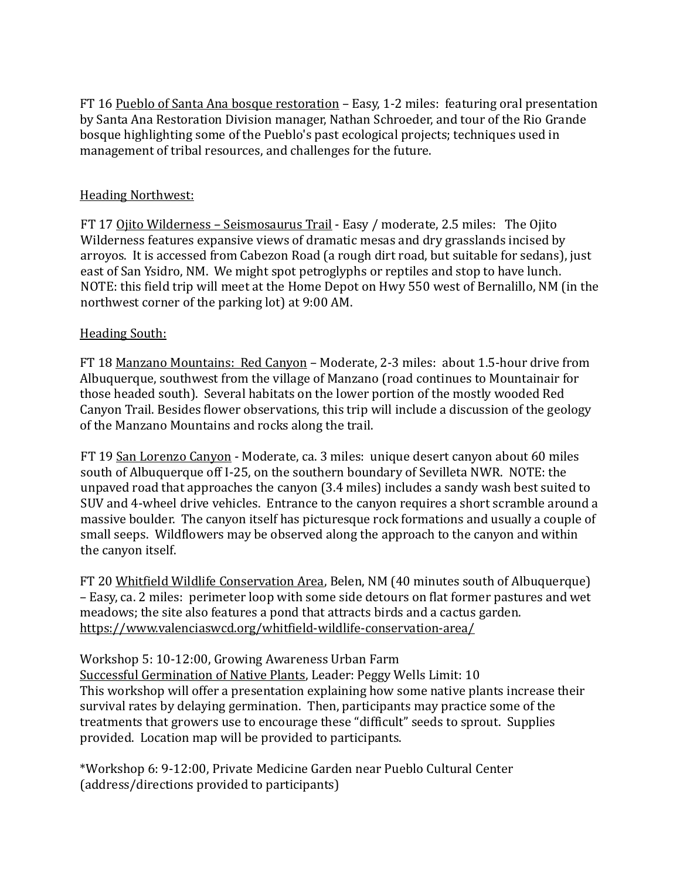FT 16 Pueblo of Santa Ana bosque restoration - Easy, 1-2 miles: featuring oral presentation by Santa Ana Restoration Division manager, Nathan Schroeder, and tour of the Rio Grande bosque highlighting some of the Pueblo's past ecological projects; techniques used in management of tribal resources, and challenges for the future.

### Heading Northwest:

FT 17 Ojito Wilderness – Seismosaurus Trail - Easy / moderate, 2.5 miles: The Ojito Wilderness features expansive views of dramatic mesas and dry grasslands incised by arroyos. It is accessed from Cabezon Road (a rough dirt road, but suitable for sedans), just east of San Ysidro, NM. We might spot petroglyphs or reptiles and stop to have lunch. NOTE: this field trip will meet at the Home Depot on Hwy 550 west of Bernalillo, NM (in the northwest corner of the parking lot) at 9:00 AM.

### Heading South:

FT 18 Manzano Mountains: Red Canyon – Moderate, 2-3 miles: about 1.5-hour drive from Albuquerque, southwest from the village of Manzano (road continues to Mountainair for those headed south). Several habitats on the lower portion of the mostly wooded Red Canyon Trail. Besides flower observations, this trip will include a discussion of the geology of the Manzano Mountains and rocks along the trail.

FT 19 San Lorenzo Canyon - Moderate, ca. 3 miles: unique desert canyon about 60 miles south of Albuquerque off I-25, on the southern boundary of Sevilleta NWR. NOTE: the unpaved road that approaches the canyon (3.4 miles) includes a sandy wash best suited to SUV and 4-wheel drive vehicles. Entrance to the canyon requires a short scramble around a massive boulder. The canyon itself has picturesque rock formations and usually a couple of small seeps. Wildflowers may be observed along the approach to the canyon and within the canyon itself.

FT 20 Whitfield Wildlife Conservation Area, Belen, NM (40 minutes south of Albuquerque) – Easy, ca. 2 miles: perimeter loop with some side detours on flat former pastures and wet meadows; the site also features a pond that attracts birds and a cactus garden. [https://www.valenciaswcd.org/whitfield](https://www.valenciaswcd.org/whitfield-wildlife-conservation-area/)-wildlife-conservation-area/

Workshop 5: 10-12:00, Growing Awareness Urban Farm

Successful Germination of Native Plants, Leader: Peggy Wells Limit: 10 This workshop will offer a presentation explaining how some native plants increase their survival rates by delaying germination. Then, participants may practice some of the treatments that growers use to encourage these "difficult" seeds to sprout. Supplies provided. Location map will be provided to participants.

\*Workshop 6: 9-12:00, Private Medicine Garden near Pueblo Cultural Center (address/directions provided to participants)